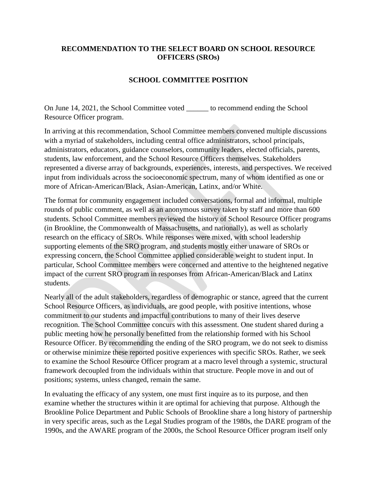## **RECOMMENDATION TO THE SELECT BOARD ON SCHOOL RESOURCE OFFICERS (SROs)**

## **SCHOOL COMMITTEE POSITION**

On June 14, 2021, the School Committee voted \_\_\_\_\_\_ to recommend ending the School Resource Officer program.

In arriving at this recommendation, School Committee members convened multiple discussions with a myriad of stakeholders, including central office administrators, school principals, administrators, educators, guidance counselors, community leaders, elected officials, parents, students, law enforcement, and the School Resource Officers themselves. Stakeholders represented a diverse array of backgrounds, experiences, interests, and perspectives. We received input from individuals across the socioeconomic spectrum, many of whom identified as one or more of African-American/Black, Asian-American, Latinx, and/or White.

The format for community engagement included conversations, formal and informal, multiple rounds of public comment, as well as an anonymous survey taken by staff and more than 600 students. School Committee members reviewed the history of School Resource Officer programs (in Brookline, the Commonwealth of Massachusetts, and nationally), as well as scholarly research on the efficacy of SROs. While responses were mixed, with school leadership supporting elements of the SRO program, and students mostly either unaware of SROs or expressing concern, the School Committee applied considerable weight to student input. In particular, School Committee members were concerned and attentive to the heightened negative impact of the current SRO program in responses from African-American/Black and Latinx students.

Nearly all of the adult stakeholders, regardless of demographic or stance, agreed that the current School Resource Officers, as individuals, are good people, with positive intentions, whose commitment to our students and impactful contributions to many of their lives deserve recognition. The School Committee concurs with this assessment. One student shared during a public meeting how he personally benefitted from the relationship formed with his School Resource Officer. By recommending the ending of the SRO program, we do not seek to dismiss or otherwise minimize these reported positive experiences with specific SROs. Rather, we seek to examine the School Resource Officer program at a macro level through a systemic, structural framework decoupled from the individuals within that structure. People move in and out of positions; systems, unless changed, remain the same.

In evaluating the efficacy of any system, one must first inquire as to its purpose, and then examine whether the structures within it are optimal for achieving that purpose. Although the Brookline Police Department and Public Schools of Brookline share a long history of partnership in very specific areas, such as the Legal Studies program of the 1980s, the DARE program of the 1990s, and the AWARE program of the 2000s, the School Resource Officer program itself only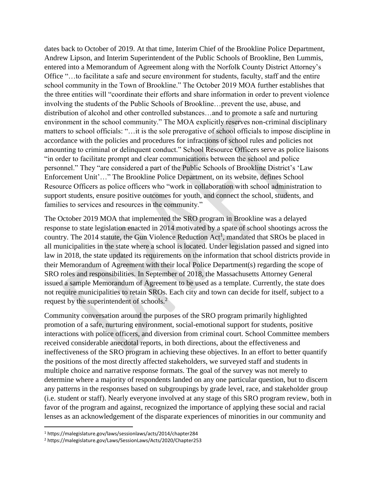dates back to October of 2019. At that time, Interim Chief of the Brookline Police Department, Andrew Lipson, and Interim Superintendent of the Public Schools of Brookline, Ben Lummis, entered into a Memorandum of Agreement along with the Norfolk County District Attorney's Office "…to facilitate a safe and secure environment for students, faculty, staff and the entire school community in the Town of Brookline." The October 2019 MOA further establishes that the three entities will "coordinate their efforts and share information in order to prevent violence involving the students of the Public Schools of Brookline…prevent the use, abuse, and distribution of alcohol and other controlled substances…and to promote a safe and nurturing environment in the school community." The MOA explicitly reserves non-criminal disciplinary matters to school officials: "…it is the sole prerogative of school officials to impose discipline in accordance with the policies and procedures for infractions of school rules and policies not amounting to criminal or delinquent conduct." School Resource Officers serve as police liaisons "in order to facilitate prompt and clear communications between the school and police personnel." They "are considered a part of the Public Schools of Brookline District's 'Law Enforcement Unit'…" The Brookline Police Department, on its website, defines School Resource Officers as police officers who "work in collaboration with school administration to support students, ensure positive outcomes for youth, and connect the school, students, and families to services and resources in the community."

The October 2019 MOA that implemented the SRO program in Brookline was a delayed response to state legislation enacted in 2014 motivated by a spate of school shootings across the country. The 2014 statute, the Gun Violence Reduction  $Act^1$ , mandated that SROs be placed in all municipalities in the state where a school is located. Under legislation passed and signed into law in 2018, the state updated its requirements on the information that school districts provide in their Memorandum of Agreement with their local Police Department(s) regarding the scope of SRO roles and responsibilities. In September of 2018, the Massachusetts Attorney General issued a sample Memorandum of Agreement to be used as a template. Currently, the state does not require municipalities to retain SROs. Each city and town can decide for itself, subject to a request by the superintendent of schools.<sup>2</sup>

Community conversation around the purposes of the SRO program primarily highlighted promotion of a safe, nurturing environment, social-emotional support for students, positive interactions with police officers, and diversion from criminal court. School Committee members received considerable anecdotal reports, in both directions, about the effectiveness and ineffectiveness of the SRO program in achieving these objectives. In an effort to better quantify the positions of the most directly affected stakeholders, we surveyed staff and students in multiple choice and narrative response formats. The goal of the survey was not merely to determine where a majority of respondents landed on any one particular question, but to discern any patterns in the responses based on subgroupings by grade level, race, and stakeholder group (i.e. student or staff). Nearly everyone involved at any stage of this SRO program review, both in favor of the program and against, recognized the importance of applying these social and racial lenses as an acknowledgement of the disparate experiences of minorities in our community and

 $\overline{a}$ 

<sup>1</sup> https://malegislature.gov/laws/sessionlaws/acts/2014/chapter284

<sup>2</sup> <https://malegislature.gov/Laws/SessionLaws/Acts/2020/Chapter253>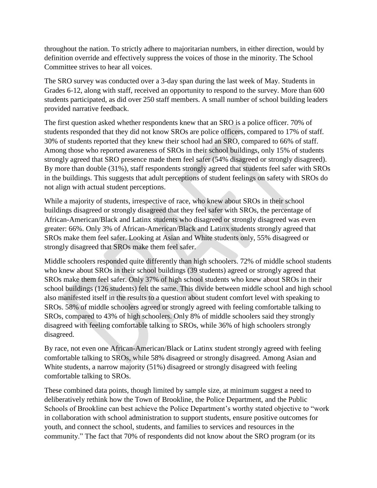throughout the nation. To strictly adhere to majoritarian numbers, in either direction, would by definition override and effectively suppress the voices of those in the minority. The School Committee strives to hear all voices.

The SRO survey was conducted over a 3-day span during the last week of May. Students in Grades 6-12, along with staff, received an opportunity to respond to the survey. More than 600 students participated, as did over 250 staff members. A small number of school building leaders provided narrative feedback.

The first question asked whether respondents knew that an SRO is a police officer. 70% of students responded that they did not know SROs are police officers, compared to 17% of staff. 30% of students reported that they knew their school had an SRO, compared to 66% of staff. Among those who reported awareness of SROs in their school buildings, only 15% of students strongly agreed that SRO presence made them feel safer (54% disagreed or strongly disagreed). By more than double (31%), staff respondents strongly agreed that students feel safer with SROs in the buildings. This suggests that adult perceptions of student feelings on safety with SROs do not align with actual student perceptions.

While a majority of students, irrespective of race, who knew about SROs in their school buildings disagreed or strongly disagreed that they feel safer with SROs, the percentage of African-American/Black and Latinx students who disagreed or strongly disagreed was even greater: 66%. Only 3% of African-American/Black and Latinx students strongly agreed that SROs make them feel safer. Looking at Asian and White students only, 55% disagreed or strongly disagreed that SROs make them feel safer.

Middle schoolers responded quite differently than high schoolers. 72% of middle school students who knew about SROs in their school buildings (39 students) agreed or strongly agreed that SROs make them feel safer. Only 37% of high school students who knew about SROs in their school buildings (126 students) felt the same. This divide between middle school and high school also manifested itself in the results to a question about student comfort level with speaking to SROs. 58% of middle schoolers agreed or strongly agreed with feeling comfortable talking to SROs, compared to 43% of high schoolers. Only 8% of middle schoolers said they strongly disagreed with feeling comfortable talking to SROs, while 36% of high schoolers strongly disagreed.

By race, not even one African-American/Black or Latinx student strongly agreed with feeling comfortable talking to SROs, while 58% disagreed or strongly disagreed. Among Asian and White students, a narrow majority (51%) disagreed or strongly disagreed with feeling comfortable talking to SROs.

These combined data points, though limited by sample size, at minimum suggest a need to deliberatively rethink how the Town of Brookline, the Police Department, and the Public Schools of Brookline can best achieve the Police Department's worthy stated objective to "work in collaboration with school administration to support students, ensure positive outcomes for youth, and connect the school, students, and families to services and resources in the community." The fact that 70% of respondents did not know about the SRO program (or its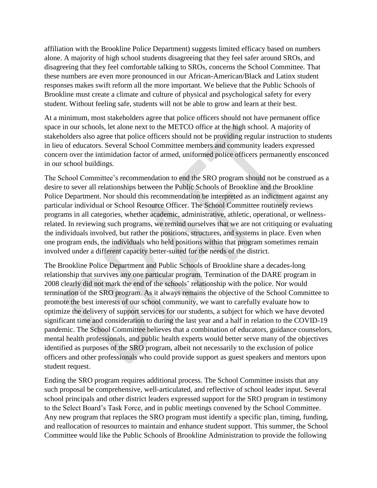affiliation with the Brookline Police Department) suggests limited efficacy based on numbers alone. A majority of high school students disagreeing that they feel safer around SROs, and disagreeing that they feel comfortable talking to SROs, concerns the School Committee. That these numbers are even more pronounced in our African-American/Black and Latinx student responses makes swift reform all the more important. We believe that the Public Schools of Brookline must create a climate and culture of physical and psychological safety for every student. Without feeling safe, students will not be able to grow and learn at their best.

At a minimum, most stakeholders agree that police officers should not have permanent office space in our schools, let alone next to the METCO office at the high school. A majority of stakeholders also agree that police officers should not be providing regular instruction to students in lieu of educators. Several School Committee members and community leaders expressed concern over the intimidation factor of armed, uniformed police officers permanently ensconced in our school buildings.

The School Committee's recommendation to end the SRO program should not be construed as a desire to sever all relationships between the Public Schools of Brookline and the Brookline Police Department. Nor should this recommendation be interpreted as an indictment against any particular individual or School Resource Officer. The School Committee routinely reviews programs in all categories, whether academic, administrative, athletic, operational, or wellnessrelated. In reviewing such programs, we remind ourselves that we are not critiquing or evaluating the individuals involved, but rather the positions, structures, and systems in place. Even when one program ends, the individuals who held positions within that program sometimes remain involved under a different capacity better-suited for the needs of the district.

The Brookline Police Department and Public Schools of Brookline share a decades-long relationship that survives any one particular program. Termination of the DARE program in 2008 clearly did not mark the end of the schools' relationship with the police. Nor would termination of the SRO program. As it always remains the objective of the School Committee to promote the best interests of our school community, we want to carefully evaluate how to optimize the delivery of support services for our students, a subject for which we have devoted significant time and consideration to during the last year and a half in relation to the COVID-19 pandemic. The School Committee believes that a combination of educators, guidance counselors, mental health professionals, and public health experts would better serve many of the objectives identified as purposes of the SRO program, albeit not necessarily to the exclusion of police officers and other professionals who could provide support as guest speakers and mentors upon student request.

Ending the SRO program requires additional process. The School Committee insists that any such proposal be comprehensive, well-articulated, and reflective of school leader input. Several school principals and other district leaders expressed support for the SRO program in testimony to the Select Board's Task Force, and in public meetings convened by the School Committee. Any new program that replaces the SRO program must identify a specific plan, timing, funding, and reallocation of resources to maintain and enhance student support. This summer, the School Committee would like the Public Schools of Brookline Administration to provide the following